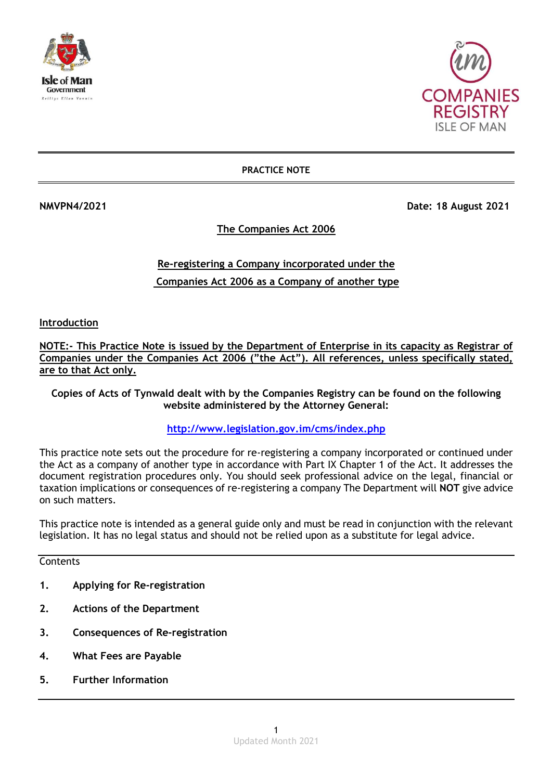



**PRACTICE NOTE**

**NMVPN4/2021 Date: 18 August 2021** 

**The Companies Act 2006**

# **Re-registering a Company incorporated under the Companies Act 2006 as a Company of another type**

**Introduction**

**NOTE:- This Practice Note is issued by the Department of Enterprise in its capacity as Registrar of Companies under the Companies Act 2006 ("the Act"). All references, unless specifically stated, are to that Act only.**

**Copies of Acts of Tynwald dealt with by the Companies Registry can be found on the following website administered by the Attorney General:**

## **<http://www.legislation.gov.im/cms/index.php>**

This practice note sets out the procedure for re-registering a company incorporated or continued under the Act as a company of another type in accordance with Part IX Chapter 1 of the Act. It addresses the document registration procedures only. You should seek professional advice on the legal, financial or taxation implications or consequences of re-registering a company The Department will **NOT** give advice on such matters.

This practice note is intended as a general guide only and must be read in conjunction with the relevant legislation. It has no legal status and should not be relied upon as a substitute for legal advice.

**Contents** 

- **1. Applying for Re-registration**
- **2. Actions of the Department**
- **3. Consequences of Re-registration**
- **4. What Fees are Payable**
- **5. Further Information**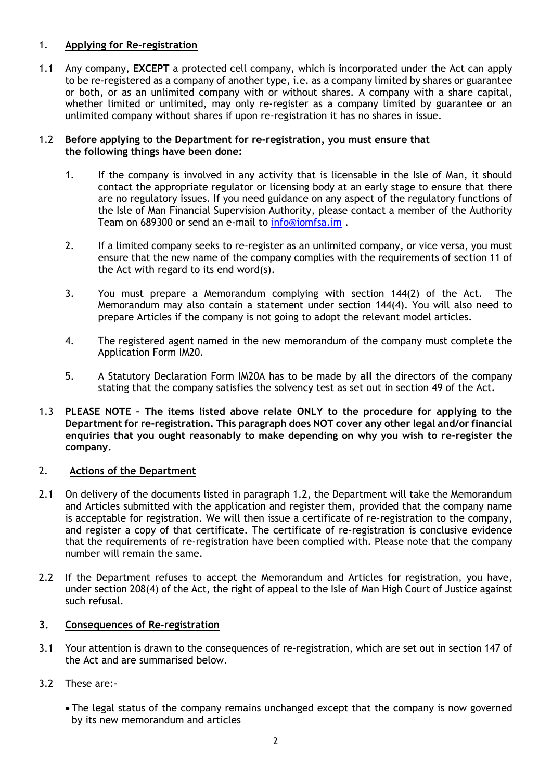## 1. **Applying for Re-registration**

1.1 Any company, **EXCEPT** a protected cell company, which is incorporated under the Act can apply to be re-registered as a company of another type, i.e. as a company limited by shares or guarantee or both, or as an unlimited company with or without shares. A company with a share capital, whether limited or unlimited, may only re-register as a company limited by guarantee or an unlimited company without shares if upon re-registration it has no shares in issue.

#### 1.2 **Before applying to the Department for re-registration, you must ensure that the following things have been done:**

- 1. If the company is involved in any activity that is licensable in the Isle of Man, it should contact the appropriate regulator or licensing body at an early stage to ensure that there are no regulatory issues. If you need guidance on any aspect of the regulatory functions of the Isle of Man Financial Supervision Authority, please contact a member of the Authority Team on 689300 or send an e-mail to [info@iomfsa.im](mailto:info@iomfsa.im) .
- 2. If a limited company seeks to re-register as an unlimited company, or vice versa, you must ensure that the new name of the company complies with the requirements of section 11 of the Act with regard to its end word(s).
- 3. You must prepare a Memorandum complying with section 144(2) of the Act. The Memorandum may also contain a statement under section 144(4). You will also need to prepare Articles if the company is not going to adopt the relevant model articles.
- 4. The registered agent named in the new memorandum of the company must complete the Application Form IM20.
- 5. A Statutory Declaration Form IM20A has to be made by **all** the directors of the company stating that the company satisfies the solvency test as set out in section 49 of the Act.
- 1.3 **PLEASE NOTE – The items listed above relate ONLY to the procedure for applying to the Department for re-registration. This paragraph does NOT cover any other legal and/or financial enquiries that you ought reasonably to make depending on why you wish to re-register the company.**

### 2. **Actions of the Department**

- 2.1 On delivery of the documents listed in paragraph 1.2, the Department will take the Memorandum and Articles submitted with the application and register them, provided that the company name is acceptable for registration. We will then issue a certificate of re-registration to the company, and register a copy of that certificate. The certificate of re-registration is conclusive evidence that the requirements of re-registration have been complied with. Please note that the company number will remain the same.
- 2.2 If the Department refuses to accept the Memorandum and Articles for registration, you have, under section 208(4) of the Act, the right of appeal to the Isle of Man High Court of Justice against such refusal.

### **3. Consequences of Re-registration**

- 3.1 Your attention is drawn to the consequences of re-registration, which are set out in section 147 of the Act and are summarised below.
- 3.2 These are:-
	- The legal status of the company remains unchanged except that the company is now governed by its new memorandum and articles